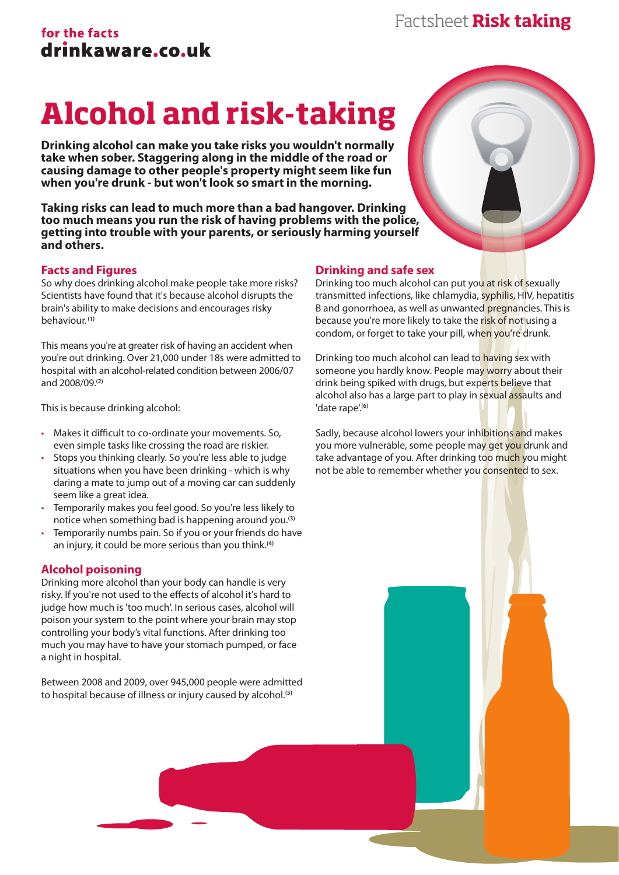## for the facts drinkaware.co.uk

# **Alcohol and risk-taking**

**Drinking alcohol can make you take risks you wouldn't normally take when sober. Staggering along in the middle of the road or causing damage to other people's property might seem like fun when you're drunk - but won't look so smart in the morning.**

**Taking risks can lead to much more than a bad hangover. Drinking too much means you run the risk of having problems with the police, getting into trouble with your parents, or seriously harming yourself and others.**

### **Facts and Figures**

So why does drinking alcohol make people take more risks? Scientists have found that it's because alcohol disrupts the brain's ability to make decisions and encourages risky behaviour. **(1)**

This means you're at greater risk of having an accident when you're out drinking. Over 21,000 under 18s were admitted to hospital with an alcohol-related condition between 2006/07 and 2008/09.**(2)**

This is because drinking alcohol:

- Makes it difficult to co-ordinate your movements. So, even simple tasks like crossing the road are riskier.
- Stops you thinking clearly. So you're less able to judge situations when you have been drinking - which is why daring a mate to jump out of a moving car can suddenly seem like a great idea.
- Temporarily makes you feel good. So you're less likely to notice when something bad is happening around you.**(3)**
- Temporarily numbs pain. So if you or your friends do have an injury, it could be more serious than you think.**(4)**

### **Alcohol poisoning**

Drinking more alcohol than your body can handle is very risky. If you're not used to the effects of alcohol it's hard to judge how much is 'too much'. In serious cases, alcohol will poison your system to the point where your brain may stop controlling your body's vital functions. After drinking too much you may have to have your stomach pumped, or face a night in hospital.

Between 2008 and 2009, over 945,000 people were admitted to hospital because of illness or injury caused by alcohol.**(5)**

### **Drinking and safe sex**

Drinking too much alcohol can put you at risk of sexually transmitted infections, like chlamydia, syphilis, HIV, hepatitis B and gonorrhoea, as well as unwanted pregnancies. This is because you're more likely to take the risk of not using a condom, or forget to take your pill, when you're drunk.

Drinking too much alcohol can lead to having sex with someone you hardly know. People may worry about their drink being spiked with drugs, but experts believe that alcohol also has a large part to play in sexual assaults and 'date rape'.**(6)**

Sadly, because alcohol lowers your inhibitions and makes you more vulnerable, some people may get you drunk and take advantage of you. After drinking too much you might not be able to remember whether you consented to sex.